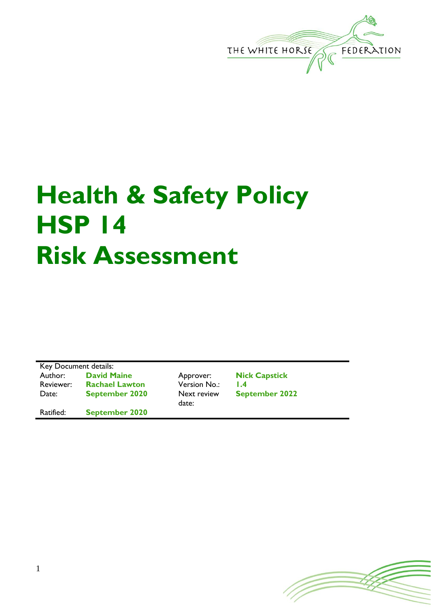

## **Health & Safety Policy HSP 14 Risk Assessment**

Key Document details: Author: **David Maine Approver: Nick Capstick**<br>
Reviewer: **Rachael Lawton Version No.: 1.4** Rachael Lawton Version No.: 1.4 Date: **September 2020** Next review date: Ratified: **September 2020**

**September 2022**

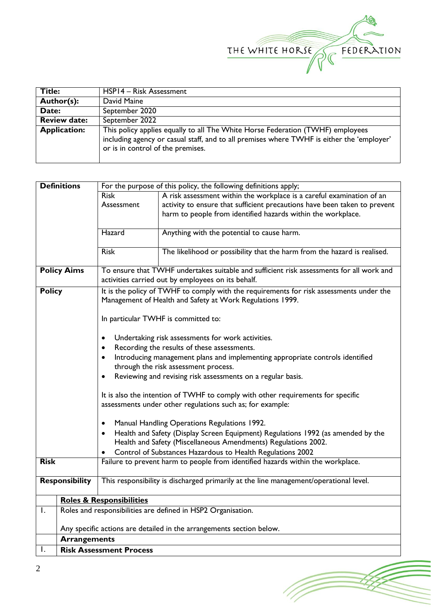

(Topon

| Title:              | HSP14 - Risk Assessment                                                                                                                                                                                          |  |  |  |  |
|---------------------|------------------------------------------------------------------------------------------------------------------------------------------------------------------------------------------------------------------|--|--|--|--|
| Author(s):          | David Maine                                                                                                                                                                                                      |  |  |  |  |
| Date:               | September 2020                                                                                                                                                                                                   |  |  |  |  |
| <b>Review date:</b> | September 2022                                                                                                                                                                                                   |  |  |  |  |
| <b>Application:</b> | This policy applies equally to all The White Horse Federation (TWHF) employees<br>including agency or casual staff, and to all premises where TWHF is either the 'employer'<br>or is in control of the premises. |  |  |  |  |

|                                                                                                                                               | <b>Definitions</b><br>For the purpose of this policy, the following definitions apply;                         |                                                                                               |                                                                                       |  |  |  |  |
|-----------------------------------------------------------------------------------------------------------------------------------------------|----------------------------------------------------------------------------------------------------------------|-----------------------------------------------------------------------------------------------|---------------------------------------------------------------------------------------|--|--|--|--|
|                                                                                                                                               |                                                                                                                | <b>Risk</b>                                                                                   | A risk assessment within the workplace is a careful examination of an                 |  |  |  |  |
|                                                                                                                                               |                                                                                                                | Assessment                                                                                    | activity to ensure that sufficient precautions have been taken to prevent             |  |  |  |  |
|                                                                                                                                               |                                                                                                                |                                                                                               | harm to people from identified hazards within the workplace.                          |  |  |  |  |
|                                                                                                                                               |                                                                                                                |                                                                                               |                                                                                       |  |  |  |  |
|                                                                                                                                               |                                                                                                                | Hazard                                                                                        | Anything with the potential to cause harm.                                            |  |  |  |  |
|                                                                                                                                               |                                                                                                                | <b>Risk</b>                                                                                   | The likelihood or possibility that the harm from the hazard is realised.              |  |  |  |  |
|                                                                                                                                               |                                                                                                                |                                                                                               |                                                                                       |  |  |  |  |
|                                                                                                                                               | To ensure that TWHF undertakes suitable and sufficient risk assessments for all work and<br><b>Policy Aims</b> |                                                                                               |                                                                                       |  |  |  |  |
|                                                                                                                                               |                                                                                                                | activities carried out by employees on its behalf.                                            |                                                                                       |  |  |  |  |
| It is the policy of TWHF to comply with the requirements for risk assessments under the<br><b>Policy</b>                                      |                                                                                                                |                                                                                               |                                                                                       |  |  |  |  |
|                                                                                                                                               |                                                                                                                |                                                                                               | Management of Health and Safety at Work Regulations 1999.                             |  |  |  |  |
| In particular TWHF is committed to:                                                                                                           |                                                                                                                |                                                                                               |                                                                                       |  |  |  |  |
|                                                                                                                                               |                                                                                                                |                                                                                               |                                                                                       |  |  |  |  |
|                                                                                                                                               |                                                                                                                | Undertaking risk assessments for work activities.<br>٠                                        |                                                                                       |  |  |  |  |
|                                                                                                                                               |                                                                                                                | Recording the results of these assessments.                                                   |                                                                                       |  |  |  |  |
|                                                                                                                                               |                                                                                                                | Introducing management plans and implementing appropriate controls identified                 |                                                                                       |  |  |  |  |
|                                                                                                                                               |                                                                                                                | through the risk assessment process.                                                          |                                                                                       |  |  |  |  |
|                                                                                                                                               |                                                                                                                | Reviewing and revising risk assessments on a regular basis.<br>$\bullet$                      |                                                                                       |  |  |  |  |
|                                                                                                                                               |                                                                                                                | It is also the intention of TWHF to comply with other requirements for specific               |                                                                                       |  |  |  |  |
|                                                                                                                                               |                                                                                                                | assessments under other regulations such as; for example:                                     |                                                                                       |  |  |  |  |
|                                                                                                                                               |                                                                                                                |                                                                                               |                                                                                       |  |  |  |  |
|                                                                                                                                               |                                                                                                                | Manual Handling Operations Regulations 1992.<br>٠                                             |                                                                                       |  |  |  |  |
|                                                                                                                                               |                                                                                                                | Health and Safety (Display Screen Equipment) Regulations 1992 (as amended by the<br>$\bullet$ |                                                                                       |  |  |  |  |
|                                                                                                                                               |                                                                                                                | Health and Safety (Miscellaneous Amendments) Regulations 2002.                                |                                                                                       |  |  |  |  |
| Control of Substances Hazardous to Health Regulations 2002<br>Failure to prevent harm to people from identified hazards within the workplace. |                                                                                                                |                                                                                               |                                                                                       |  |  |  |  |
| <b>Risk</b>                                                                                                                                   |                                                                                                                |                                                                                               |                                                                                       |  |  |  |  |
|                                                                                                                                               | <b>Responsibility</b>                                                                                          |                                                                                               | This responsibility is discharged primarily at the line management/operational level. |  |  |  |  |
|                                                                                                                                               |                                                                                                                |                                                                                               |                                                                                       |  |  |  |  |
|                                                                                                                                               |                                                                                                                | <b>Roles &amp; Responsibilities</b>                                                           |                                                                                       |  |  |  |  |
| Ι.                                                                                                                                            |                                                                                                                | Roles and responsibilities are defined in HSP2 Organisation.                                  |                                                                                       |  |  |  |  |
|                                                                                                                                               |                                                                                                                | Any specific actions are detailed in the arrangements section below.                          |                                                                                       |  |  |  |  |
|                                                                                                                                               | <b>Arrangements</b>                                                                                            |                                                                                               |                                                                                       |  |  |  |  |
| Ι.                                                                                                                                            | <b>Risk Assessment Process</b>                                                                                 |                                                                                               |                                                                                       |  |  |  |  |
|                                                                                                                                               |                                                                                                                |                                                                                               |                                                                                       |  |  |  |  |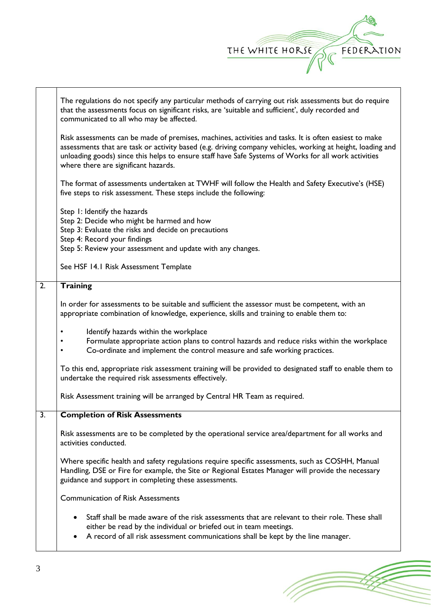

(Topon

|                  | The regulations do not specify any particular methods of carrying out risk assessments but do require<br>that the assessments focus on significant risks, are 'suitable and sufficient', duly recorded and<br>communicated to all who may be affected.                                                                                                                                                                                                                                                                                       |  |  |  |  |  |  |
|------------------|----------------------------------------------------------------------------------------------------------------------------------------------------------------------------------------------------------------------------------------------------------------------------------------------------------------------------------------------------------------------------------------------------------------------------------------------------------------------------------------------------------------------------------------------|--|--|--|--|--|--|
|                  | Risk assessments can be made of premises, machines, activities and tasks. It is often easiest to make<br>assessments that are task or activity based (e.g. driving company vehicles, working at height, loading and<br>unloading goods) since this helps to ensure staff have Safe Systems of Works for all work activities<br>where there are significant hazards.<br>The format of assessments undertaken at TWHF will follow the Health and Safety Executive's (HSE)<br>five steps to risk assessment. These steps include the following: |  |  |  |  |  |  |
|                  |                                                                                                                                                                                                                                                                                                                                                                                                                                                                                                                                              |  |  |  |  |  |  |
|                  | Step 1: Identify the hazards<br>Step 2: Decide who might be harmed and how<br>Step 3: Evaluate the risks and decide on precautions<br>Step 4: Record your findings                                                                                                                                                                                                                                                                                                                                                                           |  |  |  |  |  |  |
|                  | Step 5: Review your assessment and update with any changes.                                                                                                                                                                                                                                                                                                                                                                                                                                                                                  |  |  |  |  |  |  |
|                  | See HSF 14.1 Risk Assessment Template                                                                                                                                                                                                                                                                                                                                                                                                                                                                                                        |  |  |  |  |  |  |
| $\overline{2}$ . | <b>Training</b>                                                                                                                                                                                                                                                                                                                                                                                                                                                                                                                              |  |  |  |  |  |  |
|                  | In order for assessments to be suitable and sufficient the assessor must be competent, with an<br>appropriate combination of knowledge, experience, skills and training to enable them to:                                                                                                                                                                                                                                                                                                                                                   |  |  |  |  |  |  |
|                  | Identify hazards within the workplace<br>Formulate appropriate action plans to control hazards and reduce risks within the workplace<br>Co-ordinate and implement the control measure and safe working practices.                                                                                                                                                                                                                                                                                                                            |  |  |  |  |  |  |
|                  | To this end, appropriate risk assessment training will be provided to designated staff to enable them to<br>undertake the required risk assessments effectively.                                                                                                                                                                                                                                                                                                                                                                             |  |  |  |  |  |  |
|                  | Risk Assessment training will be arranged by Central HR Team as required.                                                                                                                                                                                                                                                                                                                                                                                                                                                                    |  |  |  |  |  |  |
| 3.               | <b>Completion of Risk Assessments</b>                                                                                                                                                                                                                                                                                                                                                                                                                                                                                                        |  |  |  |  |  |  |
|                  | Risk assessments are to be completed by the operational service area/department for all works and<br>activities conducted.                                                                                                                                                                                                                                                                                                                                                                                                                   |  |  |  |  |  |  |
|                  | Where specific health and safety regulations require specific assessments, such as COSHH, Manual<br>Handling, DSE or Fire for example, the Site or Regional Estates Manager will provide the necessary<br>guidance and support in completing these assessments.                                                                                                                                                                                                                                                                              |  |  |  |  |  |  |
|                  | <b>Communication of Risk Assessments</b>                                                                                                                                                                                                                                                                                                                                                                                                                                                                                                     |  |  |  |  |  |  |
|                  | Staff shall be made aware of the risk assessments that are relevant to their role. These shall<br>either be read by the individual or briefed out in team meetings.                                                                                                                                                                                                                                                                                                                                                                          |  |  |  |  |  |  |
|                  | A record of all risk assessment communications shall be kept by the line manager.                                                                                                                                                                                                                                                                                                                                                                                                                                                            |  |  |  |  |  |  |